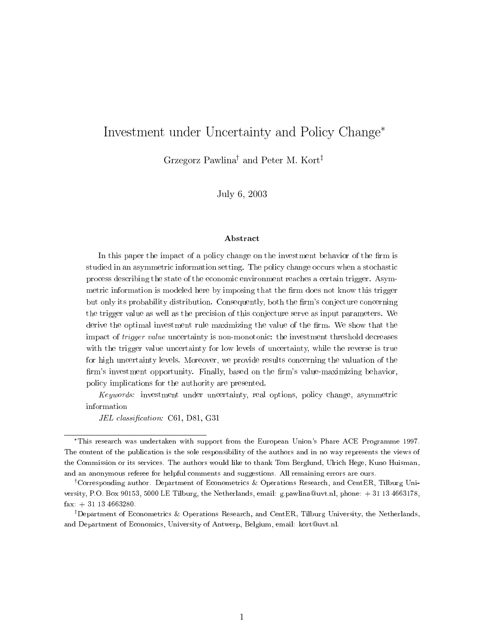# Investment under Uncertainty and Policy Change\*

Grzegorz Pawlina<sup>†</sup> and Peter M. Kort<sup>†</sup>

July 6, 2003

# Abstract

In this paper the impact of a policy change on the investment behavior of the firm is studied in an asymmetric information setting. The policy change occurs when a stochastic process describing the state of the economic environment reaches a certain trigger. Asymmetric information is modeled here by imposing that the firm does not know this trigger but only its probability distribution. Consequently, both the firm's conjecture concerning the trigger value as well as the precision of this conjecture serve as input parameters. We derive the optimal investment rule maximizing the value of the firm. We show that the impact of *trigger value* uncertainty is non-monotonic: the investment threshold decreases with the trigger value uncertainty for low levels of uncertainty, while the reverse is true for high uncertainty levels. Moreover, we provide results concerning the valuation of the firm's investment opportunity. Finally, based on the firm's value-maximizing behavior, policy implications for the authority are presented.

Keywords: investment under uncertainty, real options, policy change, asymmetric information

JEL classification: C61, D81, G31

<sup>\*</sup>This research was undertaken with support from the European Union's Phare ACE Programme 1997. The content of the publication is the sole responsibility of the authors and in no way represents the views of the Commission or its services. The authors would like to thank Tom Berglund, Ulrich Hege, Kuno Huisman, and an anonymous referee for helpful comments and suggestions. All remaining errors are ours.

Corresponding author. Department of Econometrics & Operations Research, and CentER, Tilburg University, P.O. Box 90153, 5000 LE Tilburg, the Netherlands, email: g.pawlina@uvt.nl, phone: +31 13 4663178,  $\text{fax:} + 31134663280.$ 

<sup>&</sup>lt;sup>‡</sup>Department of Econometrics & Operations Research, and CentER, Tilburg University, the Netherlands, and Department of Economics, University of Antwerp, Belgium, email: kort@uvt.nl.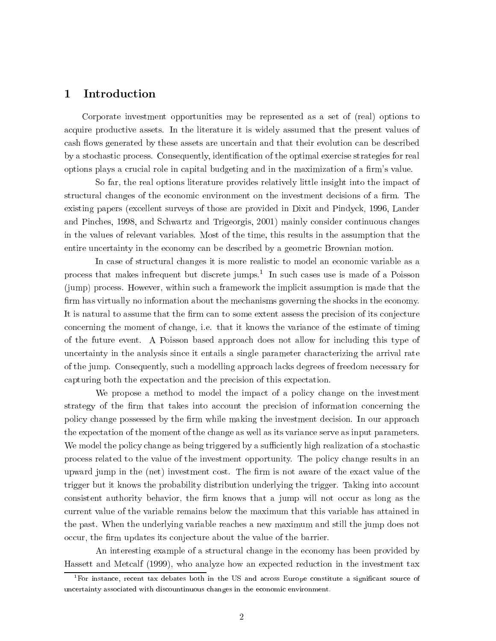### $\mathbf{1}$ Introduction

Corporate investment opportunities may be represented as a set of (real) options to acquire productive assets. In the literature it is widely assumed that the present values of cash flows generated by these assets are uncertain and that their evolution can be described by a stochastic process. Consequently, identification of the optimal exercise strategies for real options plays a crucial role in capital budgeting and in the maximization of a firm's value.

So far, the real options literature provides relatively little insight into the impact of structural changes of the economic environment on the investment decisions of a firm. The existing papers (excellent surveys of those are provided in Dixit and Pindyck, 1996, Lander and Pinches, 1998, and Schwartz and Trigeorgis, 2001) mainly consider continuous changes in the values of relevant variables. Most of the time, this results in the assumption that the entire uncertainty in the economy can be described by a geometric Brownian motion.

In case of structural changes it is more realistic to model an economic variable as a process that makes infrequent but discrete jumps.<sup>1</sup> In such cases use is made of a Poisson (jump) process. However, within such a framework the implicit assumption is made that the firm has virtually no information about the mechanisms governing the shocks in the economy. It is natural to assume that the firm can to some extent assess the precision of its conjecture concerning the moment of change, i.e. that it knows the variance of the estimate of timing of the future event. A Poisson based approach does not allow for including this type of uncertainty in the analysis since it entails a single parameter characterizing the arrival rate of the jump. Consequently, such a modelling approach lacks degrees of freedom necessary for capturing both the expectation and the precision of this expectation.

We propose a method to model the impact of a policy change on the investment strategy of the firm that takes into account the precision of information concerning the policy change possessed by the firm while making the investment decision. In our approach the expectation of the moment of the change as well as its variance serve as input parameters. We model the policy change as being triggered by a sufficiently high realization of a stochastic process related to the value of the investment opportunity. The policy change results in an upward jump in the (net) investment cost. The firm is not aware of the exact value of the trigger but it knows the probability distribution underlying the trigger. Taking into account consistent authority behavior, the firm knows that a jump will not occur as long as the current value of the variable remains below the maximum that this variable has attained in the past. When the underlying variable reaches a new maximum and still the jump does not occur, the firm updates its conjecture about the value of the barrier.

An interesting example of a structural change in the economy has been provided by Hassett and Metcalf (1999), who analyze how an expected reduction in the investment tax

 ${}^{1}$ For instance, recent tax debates both in the US and across Europe constitute a significant source of uncertainty associated with discountinuous changes in the economic environment.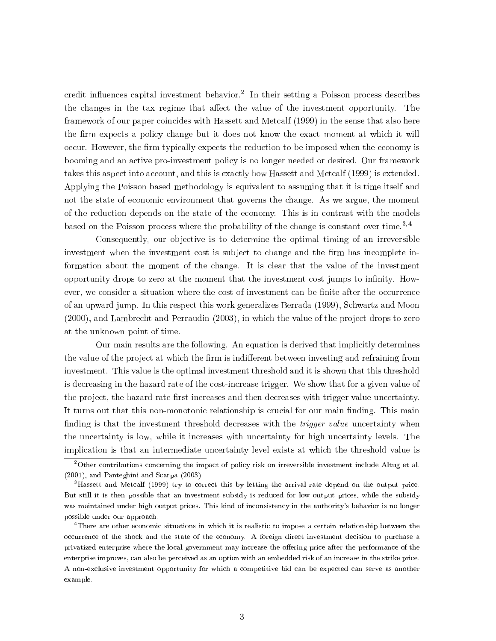credit influences capital investment behavior.<sup>2</sup> In their setting a Poisson process describes the changes in the tax regime that affect the value of the investment opportunity. The framework of our paper coincides with Hassett and Metcalf (1999) in the sense that also here the firm expects a policy change but it does not know the exact moment at which it will occur. However, the firm typically expects the reduction to be imposed when the economy is booming and an active pro-investment policy is no longer needed or desired. Our framework takes this aspect into account, and this is exactly how Hassett and Metcalf (1999) is extended. Applying the Poisson based methodology is equivalent to assuming that it is time itself and not the state of economic environment that governs the change. As we argue, the moment of the reduction depends on the state of the economy. This is in contrast with the models based on the Poisson process where the probability of the change is constant over time.<sup>3,4</sup>

Consequently, our objective is to determine the optimal timing of an irreversible investment when the investment cost is subject to change and the firm has incomplete information about the moment of the change. It is clear that the value of the investment opportunity drops to zero at the moment that the investment cost jumps to infinity. However, we consider a situation where the cost of investment can be finite after the occurrence of an upward jump. In this respect this work generalizes Berrada (1999), Schwartz and Moon  $(2000)$ , and Lambrecht and Perraudin  $(2003)$ , in which the value of the project drops to zero at the unknown point of time.

Our main results are the following. An equation is derived that implicitly determines the value of the project at which the firm is indifferent between investing and refraining from investment. This value is the optimal investment threshold and it is shown that this threshold is decreasing in the hazard rate of the cost-increase trigger. We show that for a given value of the project, the hazard rate first increases and then decreases with trigger value uncertainty. It turns out that this non-monotonic relationship is crucial for our main finding. This main finding is that the investment threshold decreases with the *trigger value* uncertainty when the uncertainty is low, while it increases with uncertainty for high uncertainty levels. The implication is that an intermediate uncertainty level exists at which the threshold value is

 ${}^{2}$ Other contributions concerning the impact of policy risk on irreversible investment include Altug et al. (2001), and Panteghini and Scarpa (2003).

<sup>&</sup>lt;sup>3</sup>Hassett and Metcalf (1999) try to correct this by letting the arrival rate depend on the output price. But still it is then possible that an investment subsidy is reduced for low output prices, while the subsidy was maintained under high output prices. This kind of inconsistency in the authority's behavior is no longer possible under our approach.

<sup>&</sup>lt;sup>4</sup>There are other economic situations in which it is realistic to impose a certain relationship between the occurrence of the shock and the state of the economy. A foreign direct investment decision to purchase a privatized enterprise where the local government may increase the offering price after the performance of the enterprise improves, can also be perceived as an option with an embedded risk of an increase in the strike price. A non-exclusive investment opportunity for which a competitive bid can be expected can serve as another example.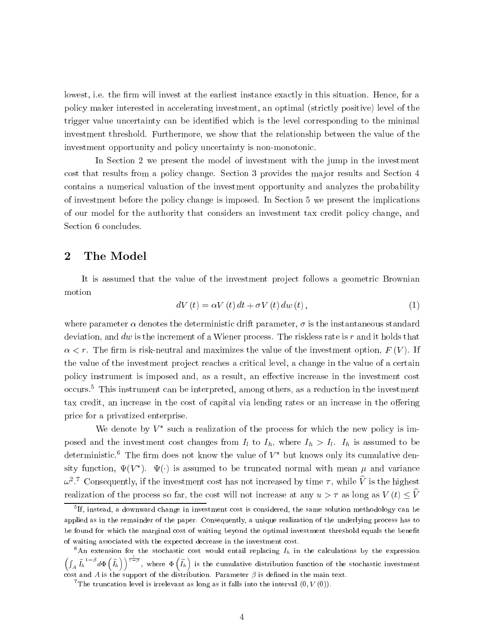lowest, i.e. the firm will invest at the earliest instance exactly in this situation. Hence, for a policy maker interested in accelerating investment, an optimal (strictly positive) level of the trigger value uncertainty can be identified which is the level corresponding to the minimal investment threshold. Furthermore, we show that the relationship between the value of the investment opportunity and policy uncertainty is non-monotonic.

In Section 2 we present the model of investment with the jump in the investment cost that results from a policy change. Section 3 provides the major results and Section 4 contains a numerical valuation of the investment opportunity and analyzes the probability of investment before the policy change is imposed. In Section 5 we present the implications of our model for the authority that considers an investment tax credit policy change, and Section 6 concludes.

### $\overline{2}$ The Model

It is assumed that the value of the investment project follows a geometric Brownian motion

$$
dV(t) = \alpha V(t) dt + \sigma V(t) dw(t), \qquad (1)
$$

where parameter  $\alpha$  denotes the deterministic drift parameter,  $\sigma$  is the instantaneous standard deviation, and dw is the increment of a Wiener process. The riskless rate is r and it holds that  $\alpha < r$ . The firm is risk-neutral and maximizes the value of the investment option,  $F(V)$ . If the value of the investment project reaches a critical level, a change in the value of a certain policy instrument is imposed and, as a result, an effective increase in the investment cost occurs.<sup>5</sup> This instrument can be interpreted, among others, as a reduction in the investment tax credit, an increase in the cost of capital via lending rates or an increase in the offering price for a privatized enterprise.

We denote by  $V^*$  such a realization of the process for which the new policy is imposed and the investment cost changes from  $I_l$  to  $I_h$ , where  $I_h > I_l$ .  $I_h$  is assumed to be deterministic.<sup>6</sup> The firm does not know the value of  $V^*$  but knows only its cumulative density function,  $\Psi(V^*)$ .  $\Psi(\cdot)$  is assumed to be truncated normal with mean  $\mu$  and variance  $\omega^2$ .<sup>7</sup> Consequently, if the investment cost has not increased by time  $\tau$ , while  $\hat{V}$  is the highest realization of the process so far, the cost will not increase at any  $u > \tau$  as long as  $V(t) \leq \hat{V}$ 

 ${}^{5}$ If, instead, a downward change in investment cost is considered, the same solution methodology can be applied as in the remainder of the paper. Consequently, a unique realization of the underlying process has to be found for which the marginal cost of waiting beyond the optimal investment threshold equals the benefit of waiting associated with the expected decrease in the investment cost.

<sup>&</sup>lt;sup>6</sup>An extension for the stochastic cost would entail replacing  $I<sub>h</sub>$  in the calculations by the expression  $\left(\int_A \widetilde{I}_h^{-1-\beta} d\Phi\left(\widetilde{I}_h\right)\right)^{\frac{1}{1-\beta}}$ , where  $\Phi\left(\widetilde{I}_h\right)$  is the cumulative distribution function of the stochastic investment cost and A is the support of the distribution. Parameter  $\beta$  is defined in the

<sup>&</sup>lt;sup>7</sup>The truncation level is irrelevant as long as it falls into the interval  $(0, V(0))$ .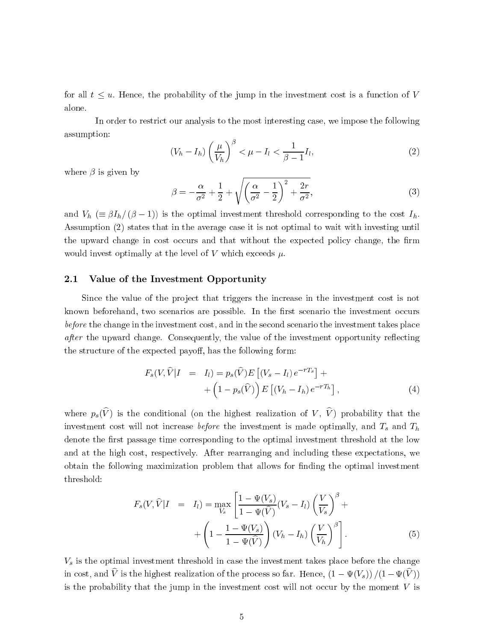for all  $t \leq u$ . Hence, the probability of the jump in the investment cost is a function of V alone.

In order to restrict our analysis to the most interesting case, we impose the following assumption:

$$
(V_h - I_h) \left(\frac{\mu}{V_h}\right)^{\beta} < \mu - I_l < \frac{1}{\beta - 1} I_l,\tag{2}
$$

where  $\beta$  is given by

$$
\beta = -\frac{\alpha}{\sigma^2} + \frac{1}{2} + \sqrt{\left(\frac{\alpha}{\sigma^2} - \frac{1}{2}\right)^2 + \frac{2r}{\sigma^2}},\tag{3}
$$

and  $V_h$  ( $\equiv \beta I_h/(\beta - 1)$ ) is the optimal investment threshold corresponding to the cost  $I_h$ . Assumption (2) states that in the average case it is not optimal to wait with investing until the upward change in cost occurs and that without the expected policy change, the firm would invest optimally at the level of V which exceeds  $\mu$ .

#### $2.1$ Value of the Investment Opportunity

Since the value of the project that triggers the increase in the investment cost is not known beforehand, two scenarios are possible. In the first scenario the investment occurs before the change in the investment cost, and in the second scenario the investment takes place *after* the upward change. Consequently, the value of the investment opportunity reflecting the structure of the expected payoff, has the following form:

$$
F_s(V, \widehat{V}|I = I_l) = p_s(\widehat{V})E[(V_s - I_l)e^{-rT_s}] ++ (1 - p_s(\widehat{V}))E[(V_h - I_h)e^{-rT_h}],
$$
\n(4)

where  $p_s(\hat{V})$  is the conditional (on the highest realization of V,  $\hat{V}$ ) probability that the investment cost will not increase *before* the investment is made optimally, and  $T_s$  and  $T_h$ denote the first passage time corresponding to the optimal investment threshold at the low and at the high cost, respectively. After rearranging and including these expectations, we obtain the following maximization problem that allows for finding the optimal investment threshold:

$$
F_s(V, \widehat{V}|I = I_l) = \max_{V_s} \left[ \frac{1 - \Psi(V_s)}{1 - \Psi(\widehat{V})} (V_s - I_l) \left( \frac{V}{V_s} \right)^{\beta} + \right. \\ \left. + \left( 1 - \frac{1 - \Psi(V_s)}{1 - \Psi(\widehat{V})} \right) (V_h - I_h) \left( \frac{V}{V_h} \right)^{\beta} \right]. \tag{5}
$$

 $V_s$  is the optimal investment threshold in case the investment takes place before the change in cost, and  $\hat{V}$  is the highest realization of the process so far. Hence,  $(1 - \Psi(V_s))/(1 - \Psi(\hat{V}))$ is the probability that the jump in the investment cost will not occur by the moment  $V$  is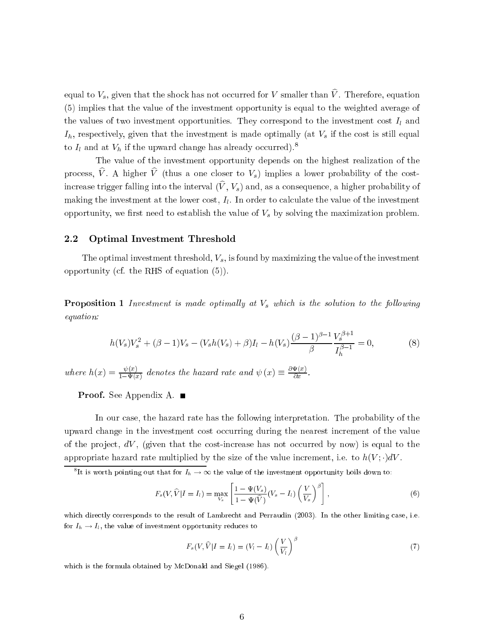equal to  $V_s$ , given that the shock has not occurred for V smaller than  $\hat{V}$ . Therefore, equation (5) implies that the value of the investment opportunity is equal to the weighted average of the values of two investment opportunities. They correspond to the investment cost  $I_l$  and  $I_h$ , respectively, given that the investment is made optimally (at  $V_s$  if the cost is still equal to  $I_l$  and at  $V_h$  if the upward change has already occurred).<sup>8</sup>

The value of the investment opportunity depends on the highest realization of the process,  $\hat{V}$ . A higher  $\hat{V}$  (thus a one closer to  $V_s$ ) implies a lower probability of the costincrease trigger falling into the interval  $(\widehat{V}, V_s)$  and, as a consequence, a higher probability of making the investment at the lower cost,  $I_l$ . In order to calculate the value of the investment opportunity, we first need to establish the value of  $V_s$  by solving the maximization problem.

#### $2.2$ **Optimal Investment Threshold**

The optimal investment threshold,  $V_s$ , is found by maximizing the value of the investment opportunity (cf. the RHS of equation  $(5)$ ).

**Proposition 1** Investment is made optimally at  $V_s$  which is the solution to the following equation:

$$
h(V_s)V_s^2 + (\beta - 1)V_s - (V_s h(V_s) + \beta)I_l - h(V_s)\frac{(\beta - 1)^{\beta - 1}}{\beta} \frac{V_s^{\beta + 1}}{I_h^{\beta - 1}} = 0,
$$
\n(8)

where  $h(x) = \frac{\psi(x)}{1 - \Psi(x)}$  denotes the hazard rate and  $\psi(x) \equiv \frac{\partial \Psi(x)}{\partial x}$ .

# **Proof.** See Appendix A.  $\blacksquare$

In our case, the hazard rate has the following interpretation. The probability of the upward change in the investment cost occurring during the nearest increment of the value of the project,  $dV$ , (given that the cost-increase has not occurred by now) is equal to the appropriate hazard rate multiplied by the size of the value increment, i.e. to  $h(V; \cdot)dV$ .

<sup>8</sup>It is worth pointing out that for  $I_h \to \infty$  the value of the investment opportunity boils down to:

$$
F_s(V, \widehat{V} | I = I_l) = \max_{V_s} \left[ \frac{1 - \Psi(V_s)}{1 - \Psi(\widehat{V})} (V_s - I_l) \left( \frac{V}{V_s} \right)^{\beta} \right],
$$
\n(6)

which directly corresponds to the result of Lambrecht and Perraudin (2003). In the other limiting case, i.e. for  $I_h \rightarrow I_l$ , the value of investment opportunity reduces to

$$
F_s(V, \hat{V} | I = I_l) = (V_l - I_l) \left(\frac{V}{V_l}\right)^{\beta} \tag{7}
$$

which is the formula obtained by McDonald and Siegel (1986).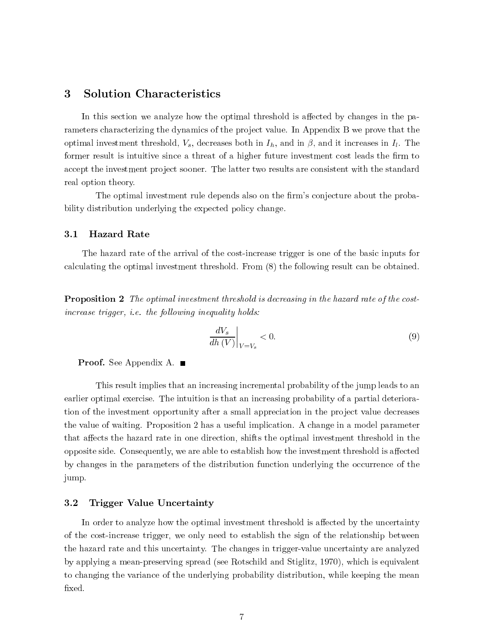## 3 **Solution Characteristics**

In this section we analyze how the optimal threshold is affected by changes in the parameters characterizing the dynamics of the project value. In Appendix B we prove that the optimal investment threshold,  $V_s$ , decreases both in  $I_h$ , and in  $\beta$ , and it increases in  $I_l$ . The former result is intuitive since a threat of a higher future investment cost leads the firm to accept the investment project sooner. The latter two results are consistent with the standard real option theory.

The optimal investment rule depends also on the firm's conjecture about the probability distribution underlying the expected policy change.

#### 3.1 **Hazard Rate**

The hazard rate of the arrival of the cost-increase trigger is one of the basic inputs for calculating the optimal investment threshold. From (8) the following result can be obtained.

**Proposition 2** The optimal investment threshold is decreasing in the hazard rate of the costincrease trigger, *i.e.* the following inequality holds:

$$
\left. \frac{dV_s}{dh\left(V\right)} \right|_{V=V_s} < 0. \tag{9}
$$

**Proof.** See Appendix A.  $\blacksquare$ 

This result implies that an increasing incremental probability of the jump leads to an earlier optimal exercise. The intuition is that an increasing probability of a partial deterioration of the investment opportunity after a small appreciation in the project value decreases the value of waiting. Proposition 2 has a useful implication. A change in a model parameter that affects the hazard rate in one direction, shifts the optimal investment threshold in the opposite side. Consequently, we are able to establish how the investment threshold is affected by changes in the parameters of the distribution function underlying the occurrence of the jump.

#### **Trigger Value Uncertainty**  $3.2\,$

In order to analyze how the optimal investment threshold is affected by the uncertainty of the cost-increase trigger, we only need to establish the sign of the relationship between the hazard rate and this uncertainty. The changes in trigger-value uncertainty are analyzed by applying a mean-preserving spread (see Rotschild and Stiglitz, 1970), which is equivalent to changing the variance of the underlying probability distribution, while keeping the mean fixed.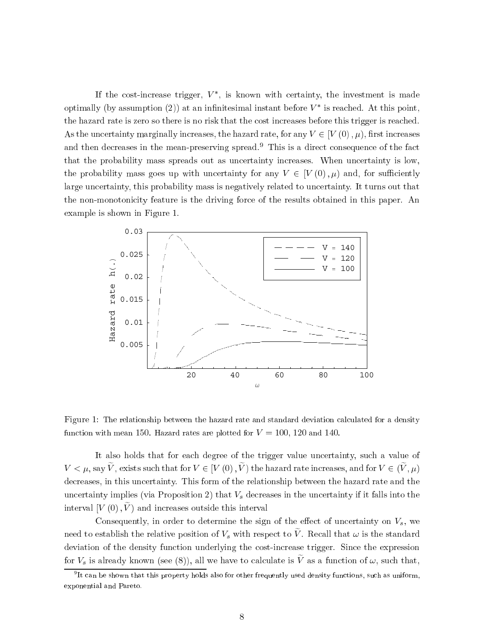If the cost-increase trigger,  $V^*$ , is known with certainty, the investment is made optimally (by assumption (2)) at an infinitesimal instant before  $V^*$  is reached. At this point, the hazard rate is zero so there is no risk that the cost increases before this trigger is reached. As the uncertainty marginally increases, the hazard rate, for any  $V \in [V(0), \mu)$ , first increases and then decreases in the mean-preserving spread.<sup>9</sup> This is a direct consequence of the fact that the probability mass spreads out as uncertainty increases. When uncertainty is low, the probability mass goes up with uncertainty for any  $V \in [V(0), \mu)$  and, for sufficiently large uncertainty, this probability mass is negatively related to uncertainty. It turns out that the non-monotonicity feature is the driving force of the results obtained in this paper. An example is shown in Figure 1.



Figure 1: The relationship between the hazard rate and standard deviation calculated for a density function with mean 150. Hazard rates are plotted for  $V = 100, 120$  and 140.

It also holds that for each degree of the trigger value uncertainty, such a value of  $V \leq \mu$ , say  $\widetilde{V}$ , exists such that for  $V \in [V(0), \widetilde{V})$  the hazard rate increases, and for  $V \in (\widetilde{V}, \mu)$ decreases, in this uncertainty. This form of the relationship between the hazard rate and the uncertainty implies (via Proposition 2) that  $V_s$  decreases in the uncertainty if it falls into the interval  $[V(0),\tilde{V})$  and increases outside this interval

Consequently, in order to determine the sign of the effect of uncertainty on  $V_s$ , we need to establish the relative position of  $V_s$  with respect to  $\tilde{V}$ . Recall that  $\omega$  is the standard deviation of the density function underlying the cost-increase trigger. Since the expression for  $V_s$  is already known (see (8)), all we have to calculate is  $\tilde{V}$  as a function of  $\omega$ , such that,

 ${}^{9}$ It can be shown that this property holds also for other frequently used density functions, such as uniform, exponential and Pareto.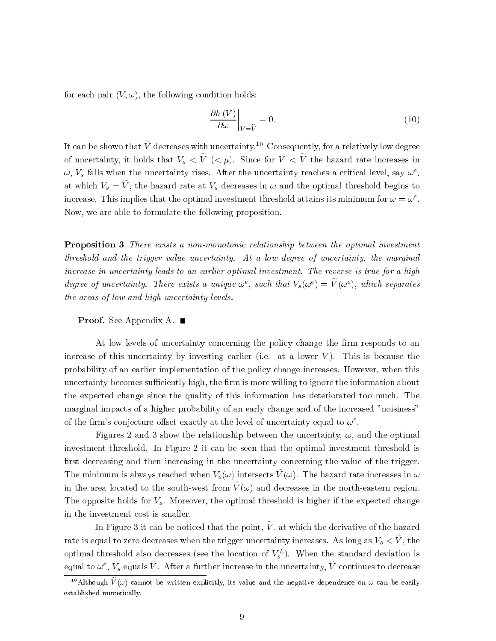for each pair  $(V, \omega)$ , the following condition holds:

$$
\left. \frac{\partial h\left(V\right)}{\partial \omega}\right|_{V=\widetilde{V}}=0.\tag{10}
$$

It can be shown that  $\widetilde{V}$  decreases with uncertainty.<sup>10</sup> Consequently, for a relatively low degree of uncertainty, it holds that  $V_s < \tilde{V}$  (<  $\mu$ ). Since for  $V < \tilde{V}$  the hazard rate increases in  $\omega$ ,  $V_s$  falls when the uncertainty rises. After the uncertainty reaches a critical level, say  $\omega^e$ , at which  $V_s = \tilde{V}$ , the hazard rate at  $V_s$  decreases in  $\omega$  and the optimal threshold begins to increase. This implies that the optimal investment threshold attains its minimum for  $\omega = \omega^e$ . Now, we are able to formulate the following proposition.

**Proposition 3** There exists a non-monotonic relationship between the optimal investment threshold and the trigger value uncertainty. At a low degree of uncertainty, the marginal increase in uncertainty leads to an earlier optimal investment. The reverse is true for a high degree of uncertainty. There exists a unique  $\omega^e$ , such that  $V_s(\omega^e) = \widetilde{V}(\omega^e)$ , which separates the areas of low and high uncertainty levels.

# **Proof.** See Appendix A.  $\blacksquare$

At low levels of uncertainty concerning the policy change the firm responds to an increase of this uncertainty by investing earlier (i.e. at a lower  $V$ ). This is because the probability of an earlier implementation of the policy change increases. However, when this uncertainty becomes sufficiently high, the firm is more willing to ignore the information about the expected change since the quality of this information has deteriorated too much. The marginal impacts of a higher probability of an early change and of the increased "noisiness" of the firm's conjecture offset exactly at the level of uncertainty equal to  $\omega^e$ .

Figures 2 and 3 show the relationship between the uncertainty,  $\omega$ , and the optimal investment threshold. In Figure 2 it can be seen that the optimal investment threshold is first decreasing and then increasing in the uncertainty concerning the value of the trigger. The minimum is always reached when  $V_s(\omega)$  intersects  $\widetilde{V}(\omega)$ . The hazard rate increases in  $\omega$ in the area located to the south-west from  $\widetilde{V}(\omega)$  and decreases in the north-eastern region. The opposite holds for  $V_s$ . Moreover, the optimal threshold is higher if the expected change in the investment cost is smaller.

In Figure 3 it can be noticed that the point,  $\tilde{V}$ , at which the derivative of the hazard rate is equal to zero decreases when the trigger uncertainty increases. As long as  $V_s < \tilde{V}$ , the optimal threshold also decreases (see the location of  $V_s^L$ ). When the standard deviation is equal to  $\omega^e$ ,  $V_s$  equals  $\tilde{V}$ . After a further increase in the uncertainty,  $\tilde{V}$  continues to decrease

<sup>&</sup>lt;sup>10</sup>Although  $\widetilde{V}(\omega)$  cannot be written explicitly, its value and the negative dependence on  $\omega$  can be easily established numerically.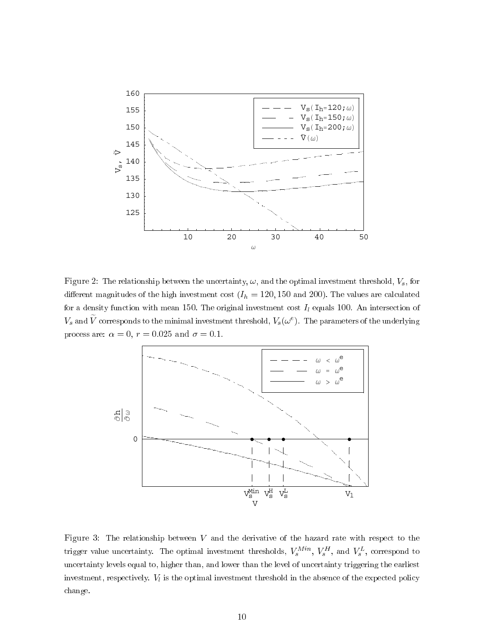

Figure 2: The relationship between the uncertainty,  $\omega$ , and the optimal investment threshold,  $V_s$ , for different magnitudes of the high investment cost  $(I_h = 120, 150, 150)$  and 200). The values are calculated for a density function with mean 150. The original investment cost  $I_l$  equals 100. An intersection of  $V_s$  and  $\widetilde{V}$  corresponds to the minimal investment threshold,  $V_s(\omega^e)$ . The parameters of the underlying process are:  $\alpha = 0$ ,  $r = 0.025$  and  $\sigma = 0.1$ .



Figure 3: The relationship between  $V$  and the derivative of the hazard rate with respect to the trigger value uncertainty. The optimal investment thresholds,  $V_s^{Min}$ ,  $V_s^H$ , and  $V_s^L$ , correspond to uncertainty levels equal to, higher than, and lower than the level of uncertainty triggering the earliest investment, respectively.  $V_l$  is the optimal investment threshold in the absence of the expected policy change.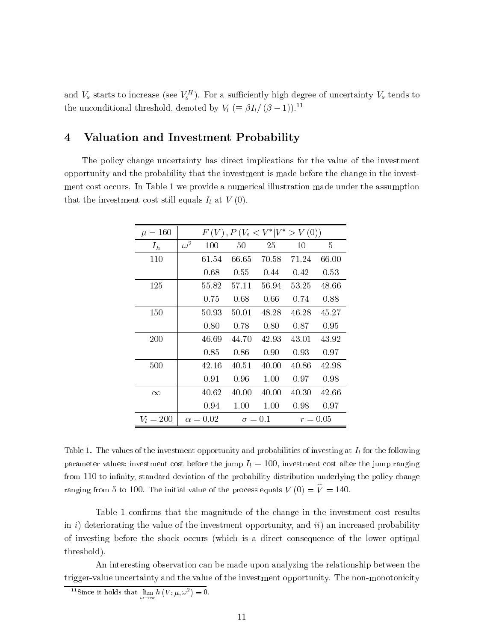and  $V_s$  starts to increase (see  $V_s^H$ ). For a sufficiently high degree of uncertainty  $V_s$  tends to the unconditional threshold, denoted by  $V_l$  ( $\equiv \beta I_l/(\beta - 1)$ ).<sup>11</sup>

## $\overline{\mathbf{4}}$ Valuation and Investment Probability

The policy change uncertainty has direct implications for the value of the investment opportunity and the probability that the investment is made before the change in the investment cost occurs. In Table 1 we provide a numerical illustration made under the assumption that the investment cost still equals  $I_l$  at  $V(0)$ .

| $\mu = 160$ | $F(V), P(V_s < V^* V^* > V(0))$ |                 |                |                |            |       |
|-------------|---------------------------------|-----------------|----------------|----------------|------------|-------|
| $I_h$       | $\omega^2$                      | 100             | - 50           | 25             | 10         | 5     |
| 110         |                                 |                 | 61.54 66.65    | 70.58          | 71.24      | 66.00 |
|             |                                 | 0.68            | 0.55           | 0.44           | 0.42       | 0.53  |
| 125         |                                 |                 | 55.82 57.11    | 56.94          | 53.25      | 48.66 |
|             |                                 | 0.75            | 0.68           | 0.66           | 0.74       | 0.88  |
| 150         |                                 | 50.93           | 50.01          | 48.28          | 46.28      | 45.27 |
|             |                                 | 0.80            | 0.78           | $0.80^{\circ}$ | 0.87       | 0.95  |
| 200         |                                 | 46.69           | 44.70          | 42.93          | 43.01      | 43.92 |
|             |                                 | 0.85            | 0.86           | 0.90           | 0.93       | 0.97  |
| 500         |                                 | 42.16           | 40.51          | 40.00          | 40.86      | 42.98 |
|             |                                 | 0.91            | 0.96           | 1.00           | 0.97       | 0.98  |
| $\infty$    |                                 | 40.62           | 40.00          | 40.00          | 40.30      | 42.66 |
|             |                                 | 0.94            | 1.00           | 1.00           | 0.98       | 0.97  |
| $V_l = 200$ |                                 | $\alpha = 0.02$ | $\sigma = 0.1$ |                | $r = 0.05$ |       |

Table 1. The values of the investment opportunity and probabilities of investing at  $I_l$  for the following parameter values: investment cost before the jump  $I_l = 100$ , investment cost after the jump ranging from 110 to infinity, standard deviation of the probability distribution underlying the policy change ranging from 5 to 100. The initial value of the process equals  $V(0) = \hat{V} = 140$ .

Table 1 confirms that the magnitude of the change in the investment cost results in  $i$ ) deteriorating the value of the investment opportunity, and  $ii$ ) an increased probability of investing before the shock occurs (which is a direct consequence of the lower optimal threshold).

An interesting observation can be made upon analyzing the relationship between the trigger-value uncertainty and the value of the investment opportunity. The non-monotonicity

```
<sup>11</sup>Since it holds that \lim_{\omega \to \infty} h(V; \mu, \omega^2) = 0.
```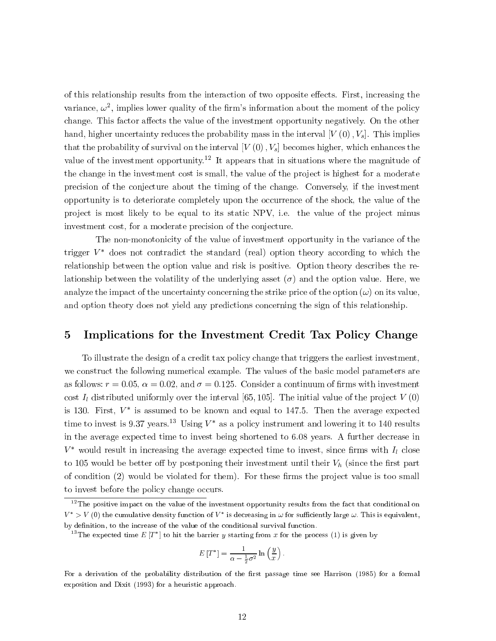of this relationship results from the interaction of two opposite effects. First, increasing the variance,  $\omega^2$ , implies lower quality of the firm's information about the moment of the policy change. This factor affects the value of the investment opportunity negatively. On the other hand, higher uncertainty reduces the probability mass in the interval  $[V(0), V_s]$ . This implies that the probability of survival on the interval  $[V(0), V_s]$  becomes higher, which enhances the value of the investment opportunity.<sup>12</sup> It appears that in situations where the magnitude of the change in the investment cost is small, the value of the project is highest for a moderate precision of the conjecture about the timing of the change. Conversely, if the investment opportunity is to deteriorate completely upon the occurrence of the shock, the value of the project is most likely to be equal to its static NPV, i.e. the value of the project minus investment cost, for a moderate precision of the conjecture.

The non-monotonicity of the value of investment opportunity in the variance of the trigger  $V^*$  does not contradict the standard (real) option theory according to which the relationship between the option value and risk is positive. Option theory describes the relationship between the volatility of the underlying asset ( $\sigma$ ) and the option value. Here, we analyze the impact of the uncertainty concerning the strike price of the option  $(\omega)$  on its value, and option theory does not yield any predictions concerning the sign of this relationship.

# Implications for the Investment Credit Tax Policy Change  $\overline{5}$

To illustrate the design of a credit tax policy change that triggers the earliest investment, we construct the following numerical example. The values of the basic model parameters are as follows:  $r = 0.05$ ,  $\alpha = 0.02$ , and  $\sigma = 0.125$ . Consider a continuum of firms with investment cost  $I_l$  distributed uniformly over the interval [65, 105]. The initial value of the project  $V(0)$ is 130. First,  $V^*$  is assumed to be known and equal to 147.5. Then the average expected time to invest is 9.37 years.<sup>13</sup> Using  $V^*$  as a policy instrument and lowering it to 140 results in the average expected time to invest being shortened to 6.08 years. A further decrease in  $V^*$  would result in increasing the average expected time to invest, since firms with  $I_l$  close to 105 would be better off by postponing their investment until their  $V<sub>h</sub>$  (since the first part of condition (2) would be violated for them). For these firms the project value is too small to invest before the policy change occurs.

$$
E[T^*] = \frac{1}{\alpha - \frac{1}{2}\sigma^2} \ln\left(\frac{y}{x}\right).
$$

 $12$ The positive impact on the value of the investment opportunity results from the fact that conditional on  $V^* > V(0)$  the cumulative density function of V<sup>\*</sup> is decreasing in  $\omega$  for sufficiently large  $\omega$ . This is equivalent, by definition, to the increase of the value of the conditional survival function.

<sup>&</sup>lt;sup>13</sup>The expected time  $E[T^*]$  to hit the barrier y starting from x for the process (1) is given by

For a derivation of the probability distribution of the first passage time see Harrison (1985) for a formal exposition and Dixit (1993) for a heuristic approach.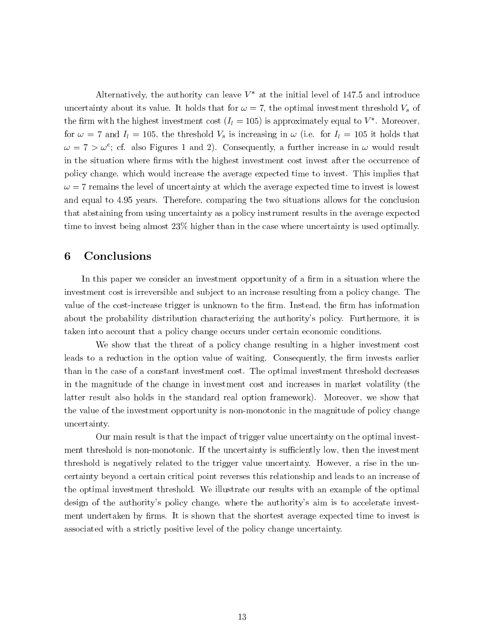Alternatively, the authority can leave  $V^*$  at the initial level of 147.5 and introduce uncertainty about its value. It holds that for  $\omega = 7$ , the optimal investment threshold  $V_s$  of the firm with the highest investment cost ( $I_l = 105$ ) is approximately equal to  $V^*$ . Moreover, for  $\omega = 7$  and  $I_l = 105$ , the threshold  $V_s$  is increasing in  $\omega$  (i.e. for  $I_l = 105$  it holds that  $\omega = 7 > \omega^e$ ; cf. also Figures 1 and 2). Consequently, a further increase in  $\omega$  would result in the situation where firms with the highest investment cost invest after the occurrence of policy change, which would increase the average expected time to invest. This implies that  $\omega = 7$  remains the level of uncertainty at which the average expected time to invest is lowest and equal to 4.95 years. Therefore, comparing the two situations allows for the conclusion that abstaining from using uncertainty as a policy instrument results in the average expected time to invest being almost  $23\%$  higher than in the case where uncertainty is used optimally.

### 6 **Conclusions**

In this paper we consider an investment opportunity of a firm in a situation where the investment cost is irreversible and subject to an increase resulting from a policy change. The value of the cost-increase trigger is unknown to the firm. Instead, the firm has information about the probability distribution characterizing the authority's policy. Furthermore, it is taken into account that a policy change occurs under certain economic conditions.

We show that the threat of a policy change resulting in a higher investment cost leads to a reduction in the option value of waiting. Consequently, the firm invests earlier than in the case of a constant investment cost. The optimal investment threshold decreases in the magnitude of the change in investment cost and increases in market volatility (the latter result also holds in the standard real option framework). Moreover, we show that the value of the investment opportunity is non-monotonic in the magnitude of policy change uncertainty.

Our main result is that the impact of trigger value uncertainty on the optimal investment threshold is non-monotonic. If the uncertainty is sufficiently low, then the investment threshold is negatively related to the trigger value uncertainty. However, a rise in the uncertainty beyond a certain critical point reverses this relationship and leads to an increase of the optimal investment threshold. We illustrate our results with an example of the optimal design of the authority's policy change, where the authority's aim is to accelerate investment undertaken by firms. It is shown that the shortest average expected time to invest is associated with a strictly positive level of the policy change uncertainty.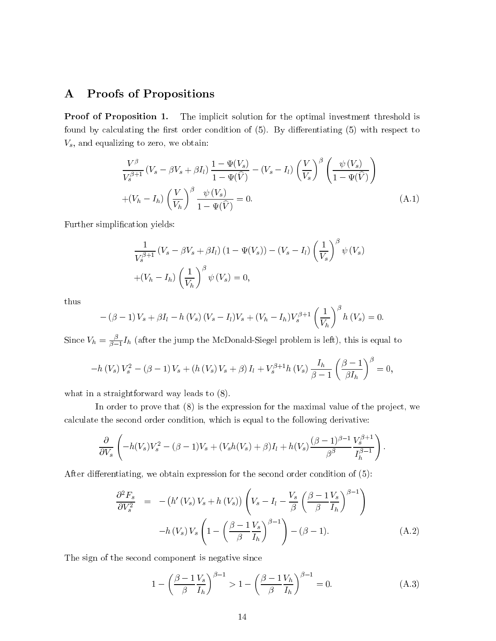# **Proofs of Propositions**  $\mathbf{A}$

**Proof of Proposition 1.** The implicit solution for the optimal investment threshold is found by calculating the first order condition of  $(5)$ . By differentiating  $(5)$  with respect to  $V_s$ , and equalizing to zero, we obtain:

$$
\frac{V^{\beta}}{V_s^{\beta+1}} \left( V_s - \beta V_s + \beta I_l \right) \frac{1 - \Psi(V_s)}{1 - \Psi(\hat{V})} - \left( V_s - I_l \right) \left( \frac{V}{V_s} \right)^{\beta} \left( \frac{\psi(V_s)}{1 - \Psi(\hat{V})} \right)
$$

$$
+ \left( V_h - I_h \right) \left( \frac{V}{V_h} \right)^{\beta} \frac{\psi(V_s)}{1 - \Psi(\hat{V})} = 0.
$$
(A.1)

Further simplification yields:

$$
\frac{1}{V_s^{\beta+1}} (V_s - \beta V_s + \beta I_l) (1 - \Psi(V_s)) - (V_s - I_l) \left(\frac{1}{V_s}\right)^{\beta} \psi(V_s)
$$

$$
+ (V_h - I_h) \left(\frac{1}{V_h}\right)^{\beta} \psi(V_s) = 0,
$$

thus

$$
-(\beta-1) V_s + \beta I_l - h(V_s) (V_s - I_l) V_s + (V_h - I_h) V_s^{\beta+1} \left(\frac{1}{V_h}\right)^{\beta} h(V_s) = 0.
$$

Since  $V_h = \frac{\beta}{\beta - 1} I_h$  (after the jump the McDonald-Siegel problem is left), this is equal to

$$
-h(V_s)V_s^2 - (\beta - 1)V_s + (h(V_s)V_s + \beta) I_l + V_s^{\beta+1}h(V_s)\frac{I_h}{\beta-1}\left(\frac{\beta-1}{\beta I_h}\right)^{\beta} = 0,
$$

what in a straightforward way leads to  $(8)$ .

In order to prove that  $(8)$  is the expression for the maximal value of the project, we calculate the second order condition, which is equal to the following derivative:

$$
\frac{\partial}{\partial V_s}\left(-h(V_s)V_s^2-(\beta-1)V_s+(V_sh(V_s)+\beta)I_l+h(V_s)\frac{(\beta-1)^{\beta-1}}{\beta^{\beta}}\frac{V_s^{\beta+1}}{I_h^{\beta-1}}\right).
$$

After differentiating, we obtain expression for the second order condition of (5):

$$
\frac{\partial^2 F_s}{\partial V_s^2} = -\left(h'(V_s) V_s + h(V_s)\right) \left(V_s - I_l - \frac{V_s}{\beta} \left(\frac{\beta - 1}{\beta} \frac{V_s}{I_h}\right)^{\beta - 1}\right)
$$

$$
-h(V_s) V_s \left(1 - \left(\frac{\beta - 1}{\beta} \frac{V_s}{I_h}\right)^{\beta - 1}\right) - (\beta - 1). \tag{A.2}
$$

The sign of the second component is negative since

$$
1 - \left(\frac{\beta - 1}{\beta} \frac{V_s}{I_h}\right)^{\beta - 1} > 1 - \left(\frac{\beta - 1}{\beta} \frac{V_h}{I_h}\right)^{\beta - 1} = 0. \tag{A.3}
$$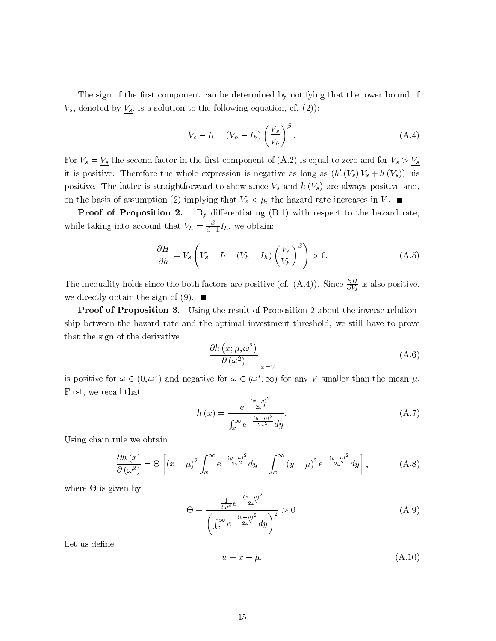The sign of the first component can be determined by notifying that the lower bound of  $V_s$ , denoted by  $V_s$ , is a solution to the following equation, cf. (2)):

$$
\underline{V_s} - I_l = (V_h - I_h) \left(\frac{V_s}{V_h}\right)^{\beta}.
$$
\n(A.4)

For  $V_s = V_s$  the second factor in the first component of (A.2) is equal to zero and for  $V_s > V_s$ it is positive. Therefore the whole expression is negative as long as  $(h'(V_s)V_s + h(V_s))$  his positive. The latter is straightforward to show since  $V_s$  and  $h(V_s)$  are always positive and, on the basis of assumption (2) implying that  $V_s < \mu$ , the hazard rate increases in V.

**Proof of Proposition 2.** By differentiating (B.1) with respect to the hazard rate, while taking into account that  $V_h = \frac{\beta}{\beta - 1} I_h$ , we obtain:

$$
\frac{\partial H}{\partial h} = V_s \left( V_s - I_l - (V_h - I_h) \left( \frac{V_s}{V_h} \right)^{\beta} \right) > 0. \tag{A.5}
$$

The inequality holds since the both factors are positive (cf.  $(A.4)$ ). Since  $\frac{\partial H}{\partial V_s}$  is also positive, we directly obtain the sign of (9).  $\blacksquare$ 

**Proof of Proposition 3.** Using the result of Proposition 2 about the inverse relationship between the hazard rate and the optimal investment threshold, we still have to prove that the sign of the derivative

$$
\left. \frac{\partial h\left(x; \mu, \omega^2\right)}{\partial \left(\omega^2\right)} \right|_{x=V} \tag{A.6}
$$

is positive for  $\omega \in (0, \omega^*)$  and negative for  $\omega \in (\omega^*, \infty)$  for any V smaller than the mean  $\mu$ . First, we recall that

$$
h(x) = \frac{e^{-\frac{(x-\mu)^2}{2\omega^2}}}{\int_x^{\infty} e^{-\frac{(y-\mu)^2}{2\omega^2}} dy}.
$$
\n(A.7)

Using chain rule we obtain

$$
\frac{\partial h(x)}{\partial (\omega^2)} = \Theta \left[ (x - \mu)^2 \int_x^{\infty} e^{-\frac{(y - \mu)^2}{2\omega^2}} dy - \int_x^{\infty} (y - \mu)^2 e^{-\frac{(y - \mu)^2}{2\omega^2}} dy \right],
$$
(A.8)

where  $\Theta$  is given by

$$
\Theta \equiv \frac{\frac{1}{2\omega^4} e^{-\frac{(x-\mu)^2}{2\omega^2}}}{\left(\int_x^\infty e^{-\frac{(y-\mu)^2}{2\omega^2}} dy\right)^2} > 0.
$$
\n(A.9)

Let us define

$$
u \equiv x - \mu. \tag{A.10}
$$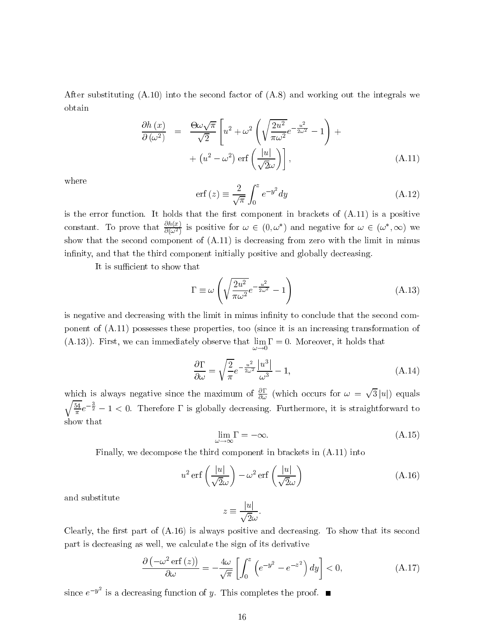After substituting  $(A.10)$  into the second factor of  $(A.8)$  and working out the integrals we obtain

$$
\frac{\partial h(x)}{\partial (\omega^2)} = \frac{\Theta \omega \sqrt{\pi}}{\sqrt{2}} \left[ u^2 + \omega^2 \left( \sqrt{\frac{2u^2}{\pi \omega^2}} e^{-\frac{u^2}{2\omega^2}} - 1 \right) + \right. \\
\left. + (u^2 - \omega^2) \operatorname{erf} \left( \frac{|u|}{\sqrt{2\omega}} \right) \right],
$$
\n(A.11)

where

$$
\operatorname{erf}(z) \equiv \frac{2}{\sqrt{\pi}} \int_0^z e^{-y^2} dy \tag{A.12}
$$

is the error function. It holds that the first component in brackets of  $(A.11)$  is a positive constant. To prove that  $\frac{\partial h(x)}{\partial(\omega^2)}$  is positive for  $\omega \in (0, \omega^*)$  and negative for  $\omega \in (\omega^*, \infty)$  we show that the second component of  $(A.11)$  is decreasing from zero with the limit in minus infinity, and that the third component initially positive and globally decreasing.

It is sufficient to show that

$$
\Gamma \equiv \omega \left( \sqrt{\frac{2u^2}{\pi \omega^2}} e^{-\frac{u^2}{2\omega^2}} - 1 \right) \tag{A.13}
$$

is negative and decreasing with the limit in minus infinity to conclude that the second component of (A.11) possesses these properties, too (since it is an increasing transformation of (A.13)). First, we can immediately observe that  $\lim_{\omega \to 0} \Gamma = 0$ . Moreover, it holds that

$$
\frac{\partial \Gamma}{\partial \omega} = \sqrt{\frac{2}{\pi}} e^{-\frac{u^2}{2\omega^2}} \frac{|u^3|}{\omega^3} - 1,\tag{A.14}
$$

which is always negative since the maximum of  $\frac{\partial \Gamma}{\partial \omega}$  (which occurs for  $\omega = \sqrt{3} |u|$ ) equals  $\sqrt{\frac{54}{\pi}} e^{-\frac{3}{2}} - 1 < 0$ . Therefore  $\Gamma$  is globally decreasing. Furthermore, it is straightforward to show that

$$
\lim_{\omega \to \infty} \Gamma = -\infty. \tag{A.15}
$$

Finally, we decompose the third component in brackets in  $(A.11)$  into

$$
u^2 \operatorname{erf}\left(\frac{|u|}{\sqrt{2}\omega}\right) - \omega^2 \operatorname{erf}\left(\frac{|u|}{\sqrt{2}\omega}\right) \tag{A.16}
$$

and substitute

$$
z \equiv \frac{|u|}{\sqrt{2}\omega}.
$$

Clearly, the first part of  $(A.16)$  is always positive and decreasing. To show that its second part is decreasing as well, we calculate the sign of its derivative

$$
\frac{\partial \left(-\omega^2 \operatorname{erf}\left(z\right)\right)}{\partial \omega} = -\frac{4\omega}{\sqrt{\pi}} \left[ \int_0^z \left(e^{-y^2} - e^{-z^2}\right) dy \right] < 0,\tag{A.17}
$$

since  $e^{-y^2}$  is a decreasing function of y. This completes the proof.  $\blacksquare$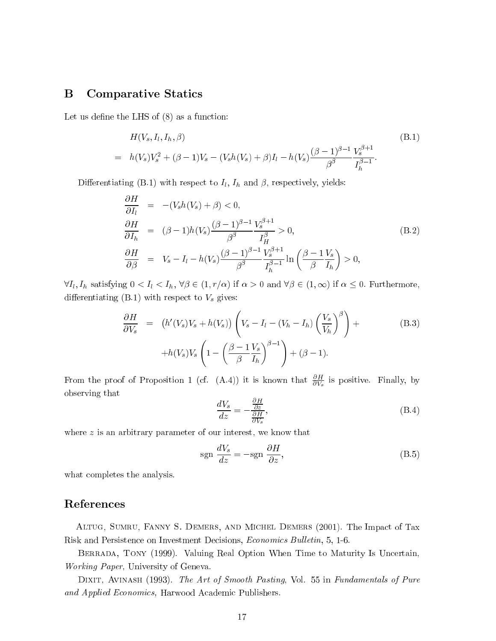# **Comparative Statics**  $\bf{B}$

Let us define the LHS of  $(8)$  as a function:

$$
H(V_s, I_l, I_h, \beta)
$$
\n
$$
= h(V_s)V_s^2 + (\beta - 1)V_s - (V_s h(V_s) + \beta)I_l - h(V_s)\frac{(\beta - 1)^{\beta - 1}V_s^{\beta + 1}}{\beta^{\beta}}\frac{V_s^{\beta + 1}}{I_h^{\beta - 1}}.
$$
\n(B.1)

Differentiating (B.1) with respect to  $I_l$ ,  $I_h$  and  $\beta$ , respectively, yields:

$$
\frac{\partial H}{\partial I_l} = -(V_s h(V_s) + \beta) < 0,
$$
\n
$$
\frac{\partial H}{\partial I_h} = (\beta - 1)h(V_s)\frac{(\beta - 1)^{\beta - 1}}{\beta^{\beta}}\frac{V_s^{\beta + 1}}{I_H^{\beta}} > 0,
$$
\n
$$
\frac{\partial H}{\partial \beta} = V_s - I_l - h(V_s)\frac{(\beta - 1)^{\beta - 1}}{\beta^{\beta}}\frac{V_s^{\beta + 1}}{I_h^{\beta - 1}}\ln\left(\frac{\beta - 1}{\beta}\frac{V_s}{I_h}\right) > 0,
$$
\n(B.2)

 $\forall I_l, I_h$  satisfying  $0 < I_l < I_h$ ,  $\forall \beta \in (1, r/\alpha)$  if  $\alpha > 0$  and  $\forall \beta \in (1, \infty)$  if  $\alpha \leq 0$ . Furthermore, differentiating  $(B.1)$  with respect to  $V_s$  gives:

$$
\frac{\partial H}{\partial V_s} = (h'(V_s)V_s + h(V_s)) \left( V_s - I_l - (V_h - I_h) \left( \frac{V_s}{V_h} \right)^\beta \right) +
$$
\n
$$
+ h(V_s)V_s \left( 1 - \left( \frac{\beta - 1}{\beta} \frac{V_s}{I_h} \right)^{\beta - 1} \right) + (\beta - 1).
$$
\n(B.3)

From the proof of Proposition 1 (cf. (A.4)) it is known that  $\frac{\partial H}{\partial V_s}$  is positive. Finally, by observing that

$$
\frac{dV_s}{dz} = -\frac{\frac{\partial H}{\partial z}}{\frac{\partial H}{\partial V_s}},\tag{B.4}
$$

where  $z$  is an arbitrary parameter of our interest, we know that

$$
sgn \frac{dV_s}{dz} = -sgn \frac{\partial H}{\partial z},\tag{B.5}
$$

what completes the analysis.

# References

ALTUG, SUMRU, FANNY S. DEMERS, AND MICHEL DEMERS (2001). The Impact of Tax Risk and Persistence on Investment Decisions, Economics Bulletin, 5, 1-6.

BERRADA, TONY (1999). Valuing Real Option When Time to Maturity Is Uncertain, Working Paper, University of Geneva.

DIXIT, AVINASH (1993). The Art of Smooth Pasting, Vol. 55 in Fundamentals of Pure and Applied Economics, Harwood Academic Publishers.